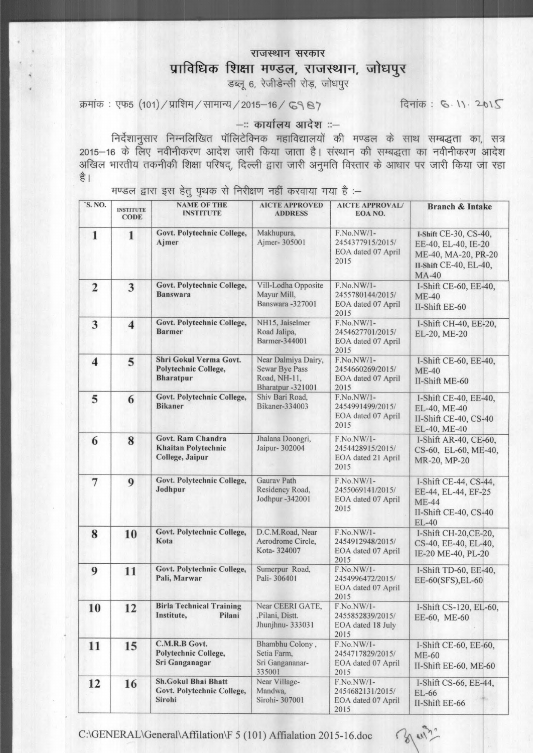## राजस्थान सरकार

## प्राविधिक शिक्षा मण्डल, राजस्थान, जोधपुर

डब्लू 6, रेजीडेन्सी रोड़, जोधपूर

क्रमांक: एफ5 (101) / प्राशिम / सामान्य / 2015-16 / ८९ ८७

दिनांक: 6.11.2015

## --: कार्यालय आदेश ::-

निर्देशानुसार निम्नलिखित पॉलिटेक्निक महाविद्यालयों की मण्डल के साथ सम्बद्धता का, सत्र है।

मण्डल द्वारा इस हेतु पृथक से निरीक्षण नहीं करवाया गया है :-

| 'S. NO.                 | <b>INSTITUTE</b><br><b>CODE</b> | <b>NAME OF THE</b><br><b>INSTITUTE</b>                             | <b>AICTE APPROVED</b><br><b>ADDRESS</b>                                           | <b>AICTE APPROVAL/</b><br>EOA NO.                             | <b>Branch &amp; Intake</b>                                                                                    |
|-------------------------|---------------------------------|--------------------------------------------------------------------|-----------------------------------------------------------------------------------|---------------------------------------------------------------|---------------------------------------------------------------------------------------------------------------|
| 1                       | $\mathbf{1}$                    | Govt. Polytechnic College,<br>Ajmer                                | Makhupura,<br>Ajmer-305001                                                        | F.No.NW/1-<br>2454377915/2015/<br>EOA dated 07 April<br>2015  | I-Shift CE-30, CS-40,<br>EE-40, EL-40, IE-20<br>ME-40, MA-20, PR-20<br>II-Shift CE-40, EL-40,<br><b>MA-40</b> |
| $\overline{2}$          | 3                               | Govt. Polytechnic College,<br><b>Banswara</b>                      | Vill-Lodha Opposite<br>Mayur Mill,<br>Banswara -327001                            | F.No.NW/1-<br>2455780144/2015/<br>EOA dated 07 April<br>2015  | I-Shift CE-60, EE-40,<br><b>ME-40</b><br>II-Shift EE-60                                                       |
| 3                       | $\overline{\mathbf{4}}$         | Govt. Polytechnic College,<br><b>Barmer</b>                        | NH15, Jaiselmer<br>Road Jalipa,<br>Barmer-344001                                  | F.No.NW/1-<br>2454627701/2015/<br>EOA dated 07 April<br>2015  | I-Shift CH-40, EE-20,<br>EL-20, ME-20                                                                         |
| $\overline{\mathbf{4}}$ | 5                               | Shri Gokul Verma Govt.<br>Polytechnic College,<br><b>Bharatpur</b> | Near Dalmiya Dairy,<br><b>Sewar Bye Pass</b><br>Road, NH-11,<br>Bharatpur -321001 | F.No.NW/1-<br>2454660269/2015/<br>EOA dated 07 April<br>2015  | I-Shift CE-60, EE-40,<br><b>ME-40</b><br>II-Shift ME-60                                                       |
| 5                       | 6                               | Govt. Polytechnic College,<br><b>Bikaner</b>                       | Shiv Bari Road,<br>Bikaner-334003                                                 | F.No.NW/1-<br>2454991499/2015/<br>EOA dated 07 April<br>2015  | I-Shift CE-40, EE-40,<br>EL-40, ME-40<br>II-Shift CE-40, CS-40<br>EL-40, ME-40                                |
| 6                       | 8                               | Govt. Ram Chandra<br><b>Khaitan Polytechnic</b><br>College, Jaipur | Jhalana Doongri,<br>Jaipur- 302004                                                | F.No.NW/1-<br>2454428915/2015/<br>EOA dated 21 April<br>2015  | I-Shift AR-40, CE-60,<br>CS-60, EL-60, ME-40,<br>MR-20, MP-20                                                 |
| $\overline{7}$          | 9                               | Govt. Polytechnic College,<br>Jodhpur                              | Gaurav Path<br>Residency Road,<br>Jodhpur -342001                                 | F.No.NW/1-<br>2455069141/2015/<br>EOA dated 07 April<br>2015  | I-Shift CE-44, CS-44,<br>EE-44, EL-44, EF-25<br><b>ME-44</b><br>II-Shift CE-40, CS-40<br><b>EL-40</b>         |
| 8                       | 10                              | Govt. Polytechnic College,<br>Kota                                 | D.C.M.Road, Near<br>Aerodrome Circle,<br>Kota-324007                              | F.No.NW/1-<br>2454912948/2015/<br>EOA dated 07 April<br>2015  | I-Shift CH-20, CE-20,<br>CS-40, EE-40, EL-40,<br>IE-20 ME-40, PL-20                                           |
| 9                       | 11                              | Govt. Polytechnic College,<br>Pali, Marwar                         | Sumerpur Road,<br>Pali-306401                                                     | F.No.NW/1-<br>2454996472/2015/<br>EOA dated 07 April<br>2015  | I-Shift TD-60, EE-40,<br>EE-60(SFS), EL-60                                                                    |
| 10                      | 12                              | <b>Birla Technical Training</b><br>Institute,<br>Pilani            | Near CEERI GATE,<br>,Pilani, Distt.<br>Jhunjhnu-333031                            | $F.No.NW/1-$<br>2455852839/2015/<br>EOA dated 18 July<br>2015 | I-Shift CS-120, EL-60,<br>EE-60, ME-60                                                                        |
| 11                      | 15                              | C.M.R.B Govt.<br>Polytechnic College,<br>Sri Ganganagar            | Bhambhu Colony,<br>Setia Farm,<br>Sri Gangananar-<br>335001                       | F.No.NW/1-<br>2454717829/2015/<br>EOA dated 07 April<br>2015  | I-Shift CE-60, EE-60,<br><b>ME-60</b><br>II-Shift EE-60, ME-60                                                |
| 12                      | 16                              | <b>Sh.Gokul Bhai Bhatt</b><br>Govt. Polytechnic College,<br>Sirohi | Near Village-<br>Mandwa,<br>Sirohi- 307001                                        | F.No.NW/1-<br>2454682131/2015/<br>EOA dated 07 April<br>2015  | I-Shift CS-66, EE-44,<br>EL-66<br>II-Shift EE-66                                                              |

C:\GENERAL\General\Affilation\F 5 (101) Affialation 2015-16.doc

3 win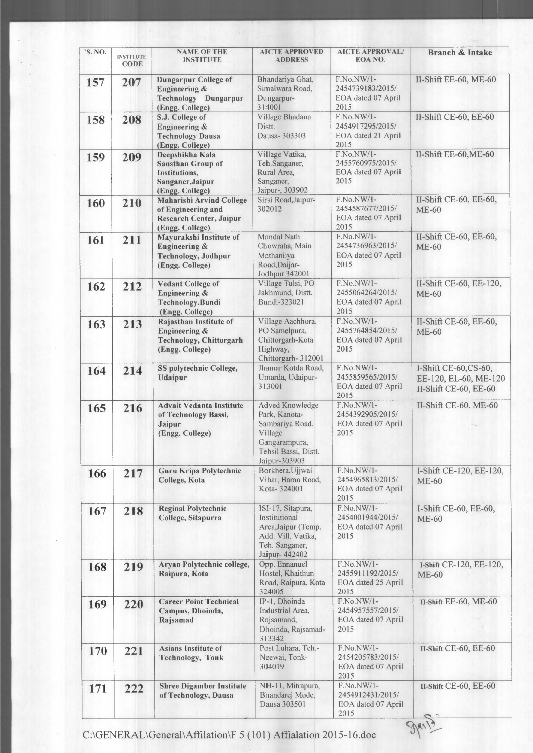| 'S. NO. | <b>INSTITUTE</b><br><b>CODE</b> | <b>NAME OF THE</b><br><b>INSTITUTE</b>                                                                     | <b>AICTE APPROVED</b><br><b>ADDRESS</b>                                                                                  | <b>AICTE APPROVAL/</b><br>EOA NO.                              | <b>Branch &amp; Intake</b>                                             |
|---------|---------------------------------|------------------------------------------------------------------------------------------------------------|--------------------------------------------------------------------------------------------------------------------------|----------------------------------------------------------------|------------------------------------------------------------------------|
| 157     | 207                             | <b>Dungarpur College of</b><br><b>Engineering &amp;</b><br><b>Technology Dungarpur</b><br>(Engg. College)  | Bhandariya Ghat,<br>Simalwara Road.<br>Dungarpur-<br>314001                                                              | F.No.NW/1-<br>2454739183/2015/<br>EOA dated 07 April<br>2015   | II-Shift EE-60, ME-60                                                  |
| 158     | 208                             | S.J. College of<br><b>Engineering &amp;</b><br><b>Technology Dausa</b><br>(Engg. College)                  | Village Bhadana<br>Distt.<br>Dausa- 303303                                                                               | F.No.NW/1-<br>2454917295/2015/<br>EOA dated 21 April<br>2015   | II-Shift CE-60, EE-60                                                  |
| 159     | 209                             | Deepshikha Kala<br><b>Sansthan Group of</b><br><b>Institutions,</b><br>Sanganer, Jaipur<br>(Engg. College) | Village Vatika,<br>Teh.Sanganer,<br>Rural Area,<br>Sanganer,<br>Jaipur-, 303902                                          | F.No.NW/1-<br>2455760975/2015/<br>EOA dated 07 April<br>2015   | II-Shift EE-60, ME-60                                                  |
| 160     | 210                             | <b>Maharishi Arvind College</b><br>of Engineering and<br><b>Research Center, Jaipur</b><br>(Engg. College) | Sirsi Road, Jaipur-<br>302012                                                                                            | F.No.NW/1-<br>2454587677/2015/<br>EOA dated 07 April<br>2015   | II-Shift CE-60, EE-60,<br><b>ME-60</b>                                 |
| 161     | 211                             | Mayurakshi Institute of<br><b>Engineering &amp;</b><br>Technology, Jodhpur<br>(Engg. College)              | Mandal Nath<br>Chowraha, Main<br>Mathaniiya<br>Road, Daijar-<br>Jodhpur 342001                                           | F.No.NW/1-<br>2454736963/2015/<br>EOA dated 07 April<br>2015   | II-Shift CE-60, EE-60,<br>$ME-60$                                      |
| 162     | 212                             | <b>Vedant College of</b><br><b>Engineering &amp;</b><br>Technology, Bundi<br>(Engg. College)               | Village Tulsi, PO<br>Jakhmund, Distt.<br>Bundi-323021                                                                    | F.No.NW/1-<br>2455064264/2015/<br>EOA dated 07 April<br>2015   | II-Shift CE-60, EE-120,<br><b>ME-60</b>                                |
| 163     | 213                             | Rajasthan Institute of<br><b>Engineering &amp;</b><br><b>Technology, Chittorgarh</b><br>(Engg. College)    | Village Aachhora,<br>PO Samelpura,<br>Chittorgarh-Kota<br>Highway,<br>Chittorgarh-312001                                 | F.No.NW/1-<br>2455764854/2015/<br>EOA dated 07 April<br>2015   | II-Shift CE-60, EE-60,<br>$ME-60$                                      |
| 164     | 214                             | SS polytechnic College,<br>Udaipur                                                                         | Jhamar Kotda Road,<br>Umarda, Udaipur-<br>313001                                                                         | F.No.NW/1-<br>2455859565/2015/<br>EOA dated 07 April<br>2015   | I-Shift CE-60,CS-60,<br>EE-120, EL-60, ME-120<br>II-Shift CE-60, EE-60 |
| 165     | 216                             | <b>Advait Vedanta Institute</b><br>of Technology Bassi,<br>Jaipur<br>(Engg. College)                       | Adved Knowledge<br>Park, Kanota-<br>Sambariya Road,<br>Village<br>Gangarampura,<br>Tehsil Bassi, Distt.<br>Jaipur-303903 | F.No.NW/1-<br>2454392905/2015/<br>EOA dated 07 April<br>2015   | II-Shift CE-60, ME-60                                                  |
| 166     | 217                             | Guru Kripa Polytechnic<br>College, Kota                                                                    | Borkhera, Ujjwal<br>Vihar, Baran Road,<br>Kota-324001                                                                    | F.No.NW/1-<br>2454965813/2015/<br>EOA dated 07 April<br>2015   | I-Shift CE-120, EE-120,<br><b>ME-60</b>                                |
| 167     | 218                             | <b>Reginal Polytechnic</b><br>College, Sitapurra                                                           | ISI-17, Sitapura,<br>Institutional<br>Area, Jaipur (Temp.<br>Add. Vill. Vatika,<br>Teh. Sanganer,<br>Jaipur- 442402      | F.No.NW/1-<br>2454001944/2015/<br>EOA dated 07 April<br>2015   | I-Shift CE-60, EE-60,<br><b>ME-60</b>                                  |
| 168     | 219                             | Aryan Polytechnic college,<br>Raipura, Kota                                                                | Opp. Ennanuel<br>Hostel, Khaithun<br>Road, Raipura, Kota<br>324005                                                       | $F.No.NW/1-$<br>2455911192/2015/<br>EOA dated 25 April<br>2015 | I-Shift CE-120, EE-120,<br>$ME-60$                                     |
| 169     | 220                             | <b>Career Point Technical</b><br>Campus, Dhoinda,<br>Rajsamad                                              | IP-1, Dhoinda<br>Industrial Area,<br>Rajsamand,<br>Dhoinda, Rajsamad-<br>313342                                          | F.No.NW/1-<br>2454957557/2015/<br>EOA dated 07 April<br>2015   | II-Shift EE-60, ME-60                                                  |
| 170     | 221                             | Asians Institute of<br>Technology, Tonk                                                                    | Post Luhara, Teh.-<br>Neewai, Tonk-<br>304019                                                                            | F.No.NW/1-<br>2454205783/2015/<br>EOA dated 07 April<br>2015   | II-Shift CE-60, EE-60                                                  |
| 171     | 222                             | <b>Shree Digamber Institute</b><br>of Technology, Dausa                                                    | NH-11, Mitrapura,<br>Bhandarej Mode,<br>Dausa 303501                                                                     | F.No.NW/1-<br>2454912431/2015/<br>EOA dated 07 April<br>2015   | II-Shift CE-60, EE-60                                                  |

C:\GENERAL\General\Affilation\F5 (101) Affialation 2015-16.doc